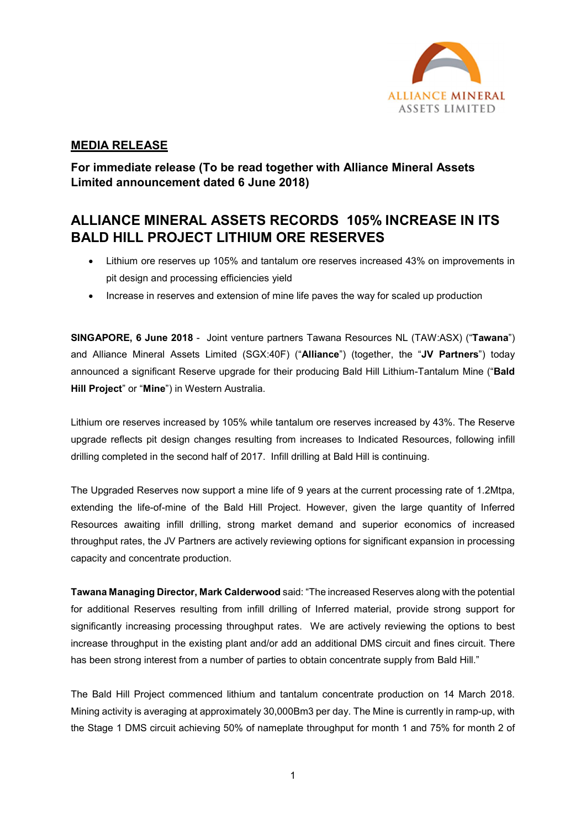

## MEDIA RELEASE

For immediate release (To be read together with Alliance Mineral Assets Limited announcement dated 6 June 2018)

# ALLIANCE MINERAL ASSETS RECORDS 105% INCREASE IN ITS BALD HILL PROJECT LITHIUM ORE RESERVES

- Lithium ore reserves up 105% and tantalum ore reserves increased 43% on improvements in pit design and processing efficiencies yield
- Increase in reserves and extension of mine life paves the way for scaled up production

SINGAPORE, 6 June 2018 - Joint venture partners Tawana Resources NL (TAW:ASX) ("Tawana") and Alliance Mineral Assets Limited (SGX:40F) ("Alliance") (together, the "JV Partners") today announced a significant Reserve upgrade for their producing Bald Hill Lithium-Tantalum Mine ("Bald Hill Project" or "Mine") in Western Australia.

Lithium ore reserves increased by 105% while tantalum ore reserves increased by 43%. The Reserve upgrade reflects pit design changes resulting from increases to Indicated Resources, following infill drilling completed in the second half of 2017. Infill drilling at Bald Hill is continuing.

The Upgraded Reserves now support a mine life of 9 years at the current processing rate of 1.2Mtpa, extending the life-of-mine of the Bald Hill Project. However, given the large quantity of Inferred Resources awaiting infill drilling, strong market demand and superior economics of increased throughput rates, the JV Partners are actively reviewing options for significant expansion in processing capacity and concentrate production.

Tawana Managing Director, Mark Calderwood said: "The increased Reserves along with the potential for additional Reserves resulting from infill drilling of Inferred material, provide strong support for significantly increasing processing throughput rates. We are actively reviewing the options to best increase throughput in the existing plant and/or add an additional DMS circuit and fines circuit. There has been strong interest from a number of parties to obtain concentrate supply from Bald Hill."

The Bald Hill Project commenced lithium and tantalum concentrate production on 14 March 2018. Mining activity is averaging at approximately 30,000Bm3 per day. The Mine is currently in ramp-up, with the Stage 1 DMS circuit achieving 50% of nameplate throughput for month 1 and 75% for month 2 of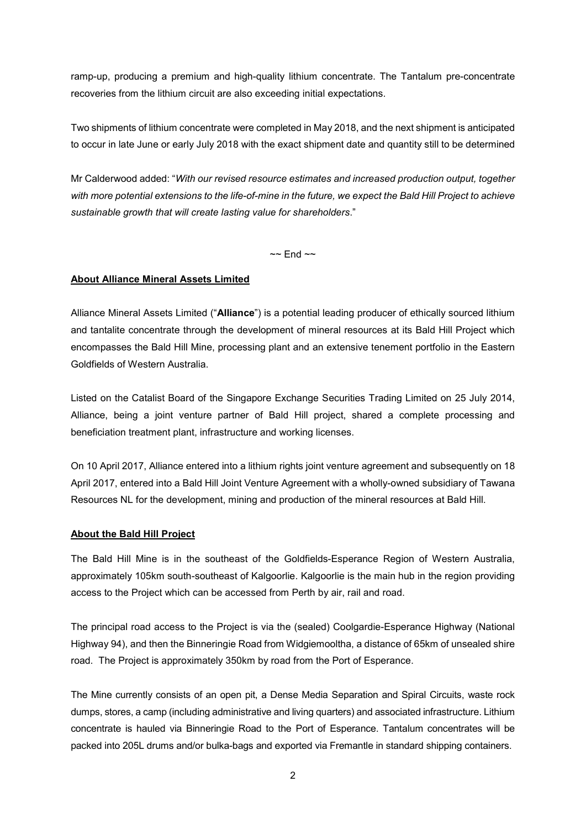ramp-up, producing a premium and high-quality lithium concentrate. The Tantalum pre-concentrate recoveries from the lithium circuit are also exceeding initial expectations.

Two shipments of lithium concentrate were completed in May 2018, and the next shipment is anticipated to occur in late June or early July 2018 with the exact shipment date and quantity still to be determined

Mr Calderwood added: "With our revised resource estimates and increased production output, together with more potential extensions to the life-of-mine in the future, we expect the Bald Hill Project to achieve sustainable growth that will create lasting value for shareholders."

 $\sim$  End  $\sim$ 

#### About Alliance Mineral Assets Limited

Alliance Mineral Assets Limited ("Alliance") is a potential leading producer of ethically sourced lithium and tantalite concentrate through the development of mineral resources at its Bald Hill Project which encompasses the Bald Hill Mine, processing plant and an extensive tenement portfolio in the Eastern Goldfields of Western Australia.

Listed on the Catalist Board of the Singapore Exchange Securities Trading Limited on 25 July 2014, Alliance, being a joint venture partner of Bald Hill project, shared a complete processing and beneficiation treatment plant, infrastructure and working licenses.

On 10 April 2017, Alliance entered into a lithium rights joint venture agreement and subsequently on 18 April 2017, entered into a Bald Hill Joint Venture Agreement with a wholly-owned subsidiary of Tawana Resources NL for the development, mining and production of the mineral resources at Bald Hill.

#### About the Bald Hill Project

The Bald Hill Mine is in the southeast of the Goldfields-Esperance Region of Western Australia, approximately 105km south-southeast of Kalgoorlie. Kalgoorlie is the main hub in the region providing access to the Project which can be accessed from Perth by air, rail and road.

The principal road access to the Project is via the (sealed) Coolgardie-Esperance Highway (National Highway 94), and then the Binneringie Road from Widgiemooltha, a distance of 65km of unsealed shire road. The Project is approximately 350km by road from the Port of Esperance.

The Mine currently consists of an open pit, a Dense Media Separation and Spiral Circuits, waste rock dumps, stores, a camp (including administrative and living quarters) and associated infrastructure. Lithium concentrate is hauled via Binneringie Road to the Port of Esperance. Tantalum concentrates will be packed into 205L drums and/or bulka-bags and exported via Fremantle in standard shipping containers.